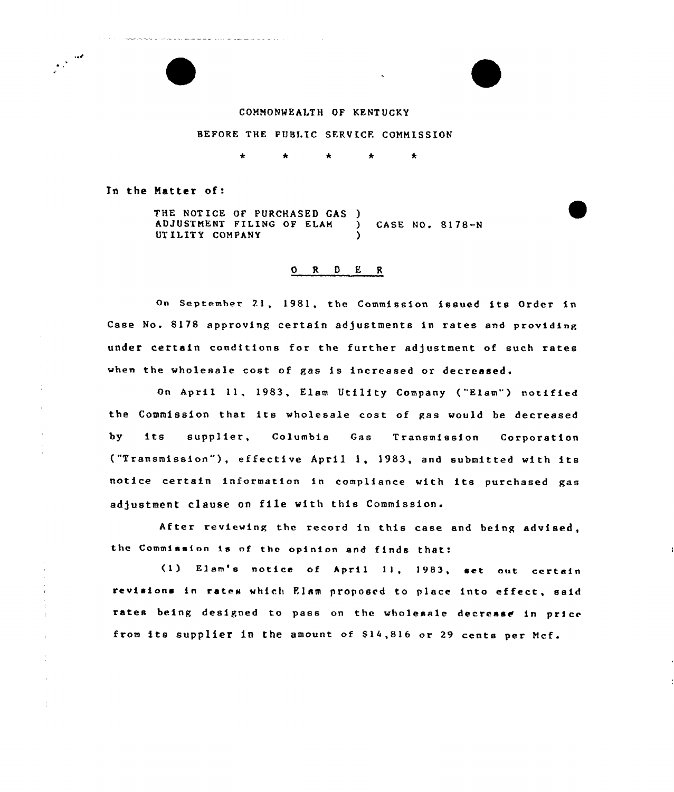# COMMONWEALTH OF KENTUCKY

#### BEFORE THE PUBLIC SERVICE COMMISSION

 $\star$ 

In the Matter of:

 $\mathbf{r}$ 

 $\frac{1}{\alpha}$ 

.<br>In property me maintain set in the color of the captain and and and an internal the property set of the color of the color

THE NOTICE OF PURCHASED GAS )<br>ADJUSTMENT FILING OF ELAM ADJUSTMENT FILING OF ELAM ) CASE NO. 8178-N UTILITY COMPANY

### <sup>O</sup> R 0 E <sup>R</sup>

On September 21, 1981, the Commission issued its Order in Case No. 8178 approving certain adjustments in rates and providing under certain conditions for the further adjustment of such rates when the wholesale cost of gas is increased or decreased.

On April ll, 1983, Elam Utility Company ("Elam") notified the Commission that its wholesale cost of gas would be decreased by its supplier, Columbia Gas Transmission Corporation ("Transmission"), effective April 1, 1983, and submitted with its notice certain information in compliance with its purchased gas adjustment clause on file with this Commission.

After reviewing the record in this case and being advised, the Commission is of the opinion and finds that:

(1) Elam's notice of April 11, 1983, set aut certain revisions in rate» which Flam proposed to place into effect, said rates being designed to pass on the wholesale decrease in price from its supplier in the amount of \$14,816 or 29 cents per Mcf.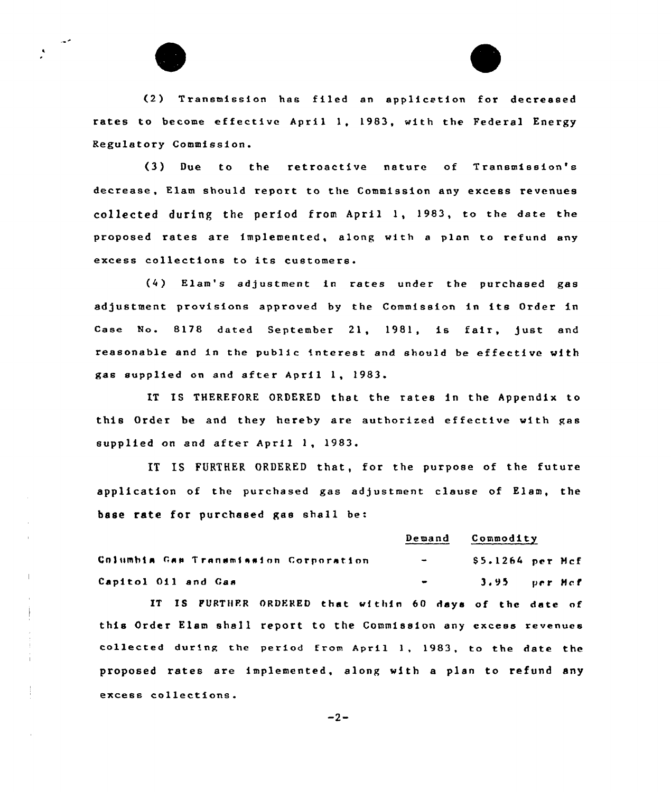

 $\mathbf{I}$ 



(2) Transmission has filed an applicetion for decreased rates to become effective April 1, 1983, with the Federal Energy Regulatory Commission.

(3) Due to the retroactive nature of Transmission's decrease, Elam should report to the Commission any excess revenues collected during the period from April 1, 1983, to the date the proposed rates are implemented, along with <sup>a</sup> plan to refund any excess collections to its customers.

(4) Elam's adjustment in rates under the purchased gas adjustment provisions approved by the Commission in its Order in Case No. 8178 dated September 21, 1981, is fair, just and reasonable end in the public interest end should be effective with gas supplied on and after April 1, 1983.

IT IS THEREFORE ORDERED that the rates in the Appendix to this Order be and they hereby are authorized effective with gas supplied on and after April 1, 1983.

IT IS FURTHER ORDERED that, for the purpose of the future application of the purchased gas adjustment clause of Elam, the base rate for purchased gas shall be:

#### Demand Commodity

Columbia Gas Transmission Corporation - \$ 5.1264 per Mcf Capitol Oil and Gas 3.95 per Mcf

IT IS FURTHER ORDERED that wf thin 60 days of the date of this Order Elam shall report to the Commission any excess revenues collected during the period from April 1, 1983, to the date the proposed rates are implemented, along with <sup>a</sup> plan to refund any excess collections.

 $-2-$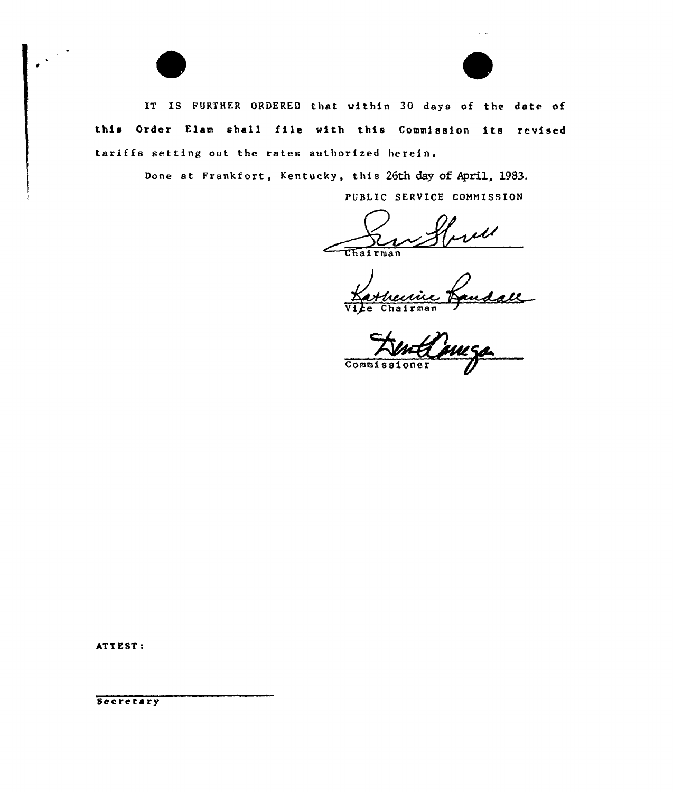IT IS FURTHER ORDERED that within 30 days of the date of this Order Elam shall file with this Commission its reuised tariffs setting out the rates authorized herein.

Done at Frankfort, Kentucky, this 26th day of April, 1983.

PUBLIC SERVICE COMMISSION

well  $\frac{1}{\sqrt{\ln 2}}$ 

ine Kansall Commiss  $overline{over}$ 

ATT EST:

Secretary